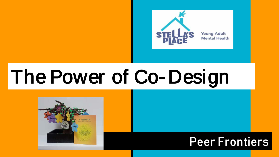

# The Power of Co- Design



### Peer Frontiers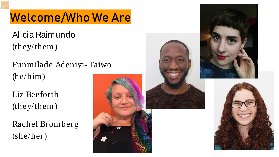## Welcome/Who We Are

Alicia Raimundo (they/them)

Funmilade Adeniyi- Taiwo (he/him)

Liz Beeforth (they/them)

Rachel Bromberg (she/her)



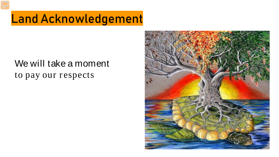### Land Acknowledgement

#### We will take a moment to pay our respects

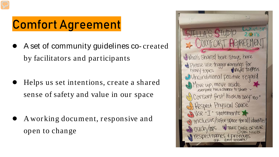### Comfort Agreement

- A set of community guidelines co- created by facilitators and participants
- Helps us set intentions, create a shared sense of safety and value in our space
- A working document, responsive and open to change

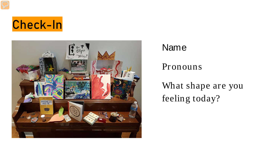



#### Name

Pronouns

What shape are you feeling today?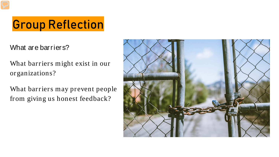# Group Reflection

What are barriers?

What barriers might exist in our organizations?

What barriers may prevent people from giving us honest feedback?

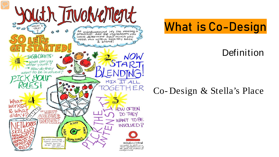

### What is Co-Design

#### Definition

#### Co- Design & Stella's Place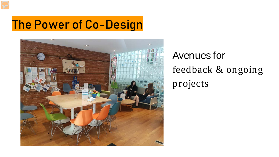### The Power of Co-Design



Avenues for feedback & ongoing projects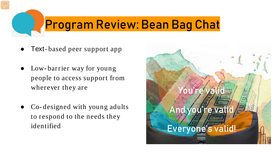# Program Review: Bean Bag Chat

- Text-based peer support app
- Low-barrier way for young people to access support from wherever they are
- Co-designed with young adults to respond to the needs they identified

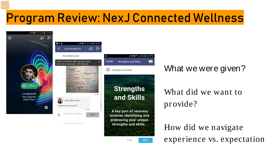### Program Review: NexJ Connected Wellness



What we were given?

What did we want to provide?

How did we navigate experience vs. expectation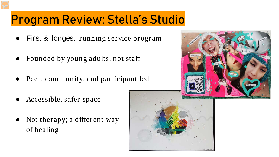### Program Review: Stella's Studio

- First & longest-running service program
- Founded by young adults, not staff
- Peer, community, and participant led
- Accessible, safer space
- Not therapy; a different way of healing

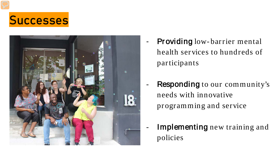



- Providing low-barrier mental health services to hundreds of participants
- Responding to our community's needs with innovative programming and service
- Implementing new training and policies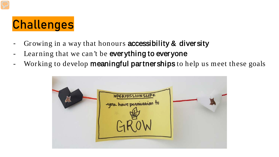### Challenges

- Growing in a way that honours **accessibility & diversity**
- Learning that we can't be everything to everyone
- Working to develop **meaningful partnerships** to help us meet these goals

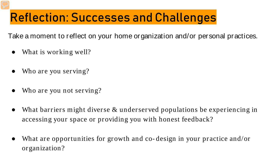### Reflection: Successes and Challenges

Take a moment to reflect on your home organization and/or personal practices.

- What is working well?
- Who are you serving?
- Who are you not serving?
- What barriers might diverse  $\&$  underserved populations be experiencing in accessing your space or providing you with honest feedback?
- What are opportunities for growth and co-design in your practice and/or organization?